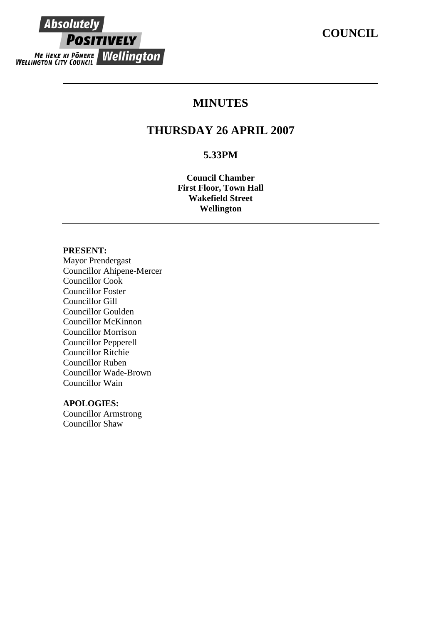# **COUNCIL**



# **MINUTES**

# **THURSDAY 26 APRIL 2007**

## **5.33PM**

**Council Chamber First Floor, Town Hall Wakefield Street Wellington**

#### **PRESENT:**

Mayor Prendergast Councillor Ahipene-Mercer Councillor Cook Councillor Foster Councillor Gill Councillor Goulden Councillor McKinnon Councillor Morrison Councillor Pepperell Councillor Ritchie Councillor Ruben Councillor Wade-Brown Councillor Wain

## **APOLOGIES:**

Councillor Armstrong Councillor Shaw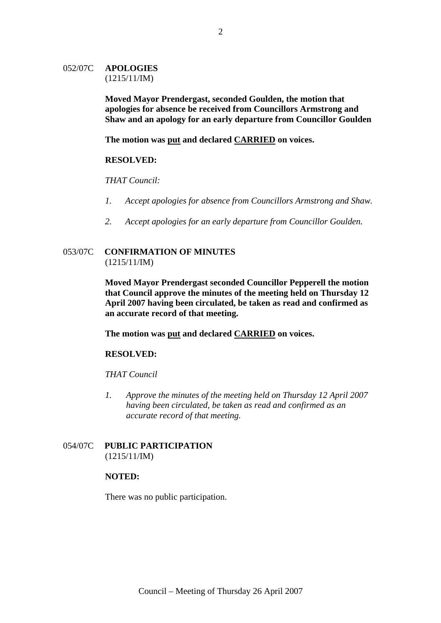#### 052/07C **APOLOGIES** (1215/11/IM)

**Moved Mayor Prendergast, seconded Goulden, the motion that apologies for absence be received from Councillors Armstrong and Shaw and an apology for an early departure from Councillor Goulden** 

**The motion was put and declared CARRIED on voices.**

#### **RESOLVED:**

#### *THAT Council:*

- *1. Accept apologies for absence from Councillors Armstrong and Shaw.*
- *2. Accept apologies for an early departure from Councillor Goulden.*

## 053/07C **CONFIRMATION OF MINUTES** (1215/11/IM)

**Moved Mayor Prendergast seconded Councillor Pepperell the motion that Council approve the minutes of the meeting held on Thursday 12 April 2007 having been circulated, be taken as read and confirmed as an accurate record of that meeting.**

**The motion was put and declared CARRIED on voices.** 

## **RESOLVED:**

#### *THAT Council*

*1. Approve the minutes of the meeting held on Thursday 12 April 2007 having been circulated, be taken as read and confirmed as an accurate record of that meeting.* 

## 054/07C **PUBLIC PARTICIPATION** (1215/11/IM)

#### **NOTED:**

There was no public participation.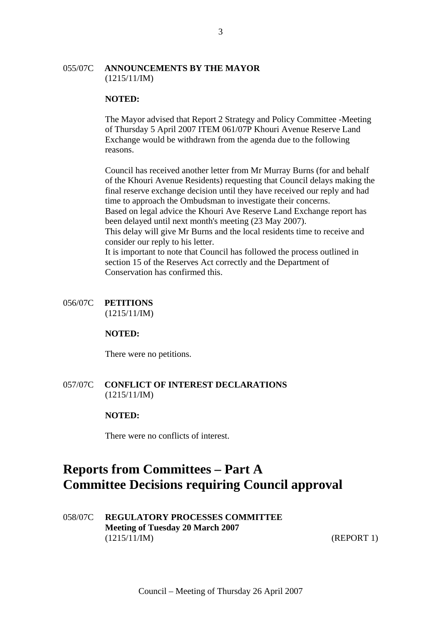#### 055/07C **ANNOUNCEMENTS BY THE MAYOR** (1215/11/IM)

#### **NOTED:**

The Mayor advised that Report 2 Strategy and Policy Committee -Meeting of Thursday 5 April 2007 ITEM 061/07P Khouri Avenue Reserve Land Exchange would be withdrawn from the agenda due to the following reasons.

Council has received another letter from Mr Murray Burns (for and behalf of the Khouri Avenue Residents) requesting that Council delays making the final reserve exchange decision until they have received our reply and had time to approach the Ombudsman to investigate their concerns. Based on legal advice the Khouri Ave Reserve Land Exchange report has been delayed until next month's meeting (23 May 2007). This delay will give Mr Burns and the local residents time to receive and consider our reply to his letter. It is important to note that Council has followed the process outlined in section 15 of the Reserves Act correctly and the Department of Conservation has confirmed this.

## 056/07C **PETITIONS**

(1215/11/IM)

#### **NOTED:**

There were no petitions.

## 057/07C **CONFLICT OF INTEREST DECLARATIONS** (1215/11/IM)

## **NOTED:**

There were no conflicts of interest.

# **Reports from Committees – Part A Committee Decisions requiring Council approval**

058/07C **REGULATORY PROCESSES COMMITTEE Meeting of Tuesday 20 March 2007** (1215/11/IM) (REPORT 1)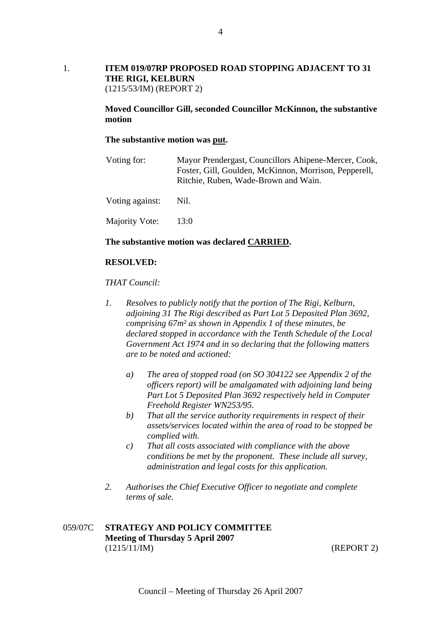#### 1. **ITEM 019/07RP PROPOSED ROAD STOPPING ADJACENT TO 31 THE RIGI, KELBURN**  (1215/53/IM) (REPORT 2)

**Moved Councillor Gill, seconded Councillor McKinnon, the substantive motion** 

#### **The substantive motion was put.**

| Voting for:     | Mayor Prendergast, Councillors Ahipene-Mercer, Cook,<br>Foster, Gill, Goulden, McKinnon, Morrison, Pepperell,<br>Ritchie, Ruben, Wade-Brown and Wain. |
|-----------------|-------------------------------------------------------------------------------------------------------------------------------------------------------|
| Voting against: | Nil.                                                                                                                                                  |
| Majority Vote:  | 13:0                                                                                                                                                  |

#### **The substantive motion was declared CARRIED.**

#### **RESOLVED:**

#### *THAT Council:*

- *1. Resolves to publicly notify that the portion of The Rigi, Kelburn, adjoining 31 The Rigi described as Part Lot 5 Deposited Plan 3692, comprising 67m² as shown in Appendix 1 of these minutes, be declared stopped in accordance with the Tenth Schedule of the Local Government Act 1974 and in so declaring that the following matters are to be noted and actioned:* 
	- *a) The area of stopped road (on SO 304122 see Appendix 2 of the officers report) will be amalgamated with adjoining land being Part Lot 5 Deposited Plan 3692 respectively held in Computer Freehold Register WN253/95.*
	- *b) That all the service authority requirements in respect of their assets/services located within the area of road to be stopped be complied with.*
	- *c) That all costs associated with compliance with the above conditions be met by the proponent. These include all survey, administration and legal costs for this application.*
- *2. Authorises the Chief Executive Officer to negotiate and complete terms of sale.*

## 059/07C **STRATEGY AND POLICY COMMITTEE Meeting of Thursday 5 April 2007**  (1215/11/IM) (REPORT 2)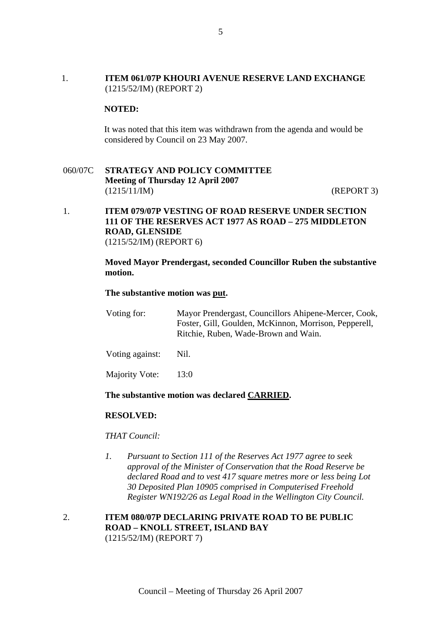## 1. **ITEM 061/07P KHOURI AVENUE RESERVE LAND EXCHANGE** (1215/52/IM) (REPORT 2)

#### **NOTED:**

It was noted that this item was withdrawn from the agenda and would be considered by Council on 23 May 2007.

## 060/07C **STRATEGY AND POLICY COMMITTEE Meeting of Thursday 12 April 2007**  (1215/11/IM) (REPORT 3)

## 1. **ITEM 079/07P VESTING OF ROAD RESERVE UNDER SECTION 111 OF THE RESERVES ACT 1977 AS ROAD – 275 MIDDLETON ROAD, GLENSIDE** (1215/52/IM) (REPORT 6)

#### **Moved Mayor Prendergast, seconded Councillor Ruben the substantive motion.**

#### **The substantive motion was put.**

| Voting for: | Mayor Prendergast, Councillors Ahipene-Mercer, Cook,  |
|-------------|-------------------------------------------------------|
|             | Foster, Gill, Goulden, McKinnon, Morrison, Pepperell, |
|             | Ritchie, Ruben, Wade-Brown and Wain.                  |
|             |                                                       |

Voting against: Nil.

Majority Vote: 13:0

#### **The substantive motion was declared CARRIED.**

#### **RESOLVED:**

#### *THAT Council:*

*1. Pursuant to Section 111 of the Reserves Act 1977 agree to seek approval of the Minister of Conservation that the Road Reserve be declared Road and to vest 417 square metres more or less being Lot 30 Deposited Plan 10905 comprised in Computerised Freehold Register WN192/26 as Legal Road in the Wellington City Council.* 

## 2. **ITEM 080/07P DECLARING PRIVATE ROAD TO BE PUBLIC ROAD – KNOLL STREET, ISLAND BAY** (1215/52/IM) (REPORT 7)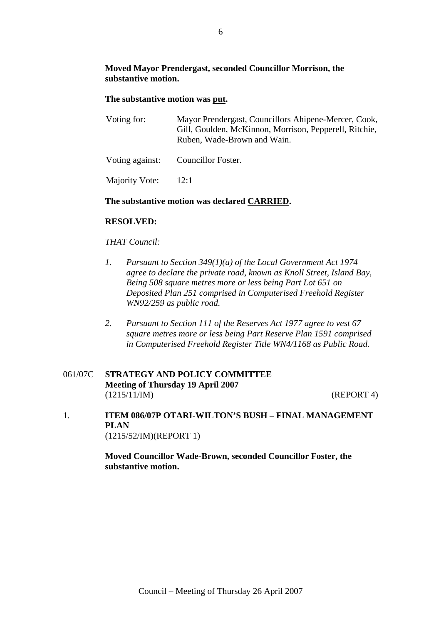## **Moved Mayor Prendergast, seconded Councillor Morrison, the substantive motion.**

## **The substantive motion was put.**

| Voting for:     | Mayor Prendergast, Councillors Ahipene-Mercer, Cook,<br>Gill, Goulden, McKinnon, Morrison, Pepperell, Ritchie,<br>Ruben, Wade-Brown and Wain. |
|-----------------|-----------------------------------------------------------------------------------------------------------------------------------------------|
| Voting against: | Councillor Foster.                                                                                                                            |

Majority Vote: 12:1

## **The substantive motion was declared CARRIED.**

## **RESOLVED:**

## *THAT Council:*

- *1. Pursuant to Section 349(1)(a) of the Local Government Act 1974 agree to declare the private road, known as Knoll Street, Island Bay, Being 508 square metres more or less being Part Lot 651 on Deposited Plan 251 comprised in Computerised Freehold Register WN92/259 as public road.*
- *2. Pursuant to Section 111 of the Reserves Act 1977 agree to vest 67 square metres more or less being Part Reserve Plan 1591 comprised in Computerised Freehold Register Title WN4/1168 as Public Road.*

## 061/07C **STRATEGY AND POLICY COMMITTEE Meeting of Thursday 19 April 2007**  (1215/11/IM) (REPORT 4)

1. **ITEM 086/07P OTARI-WILTON'S BUSH – FINAL MANAGEMENT PLAN** (1215/52/IM)(REPORT 1)

> **Moved Councillor Wade-Brown, seconded Councillor Foster, the substantive motion.**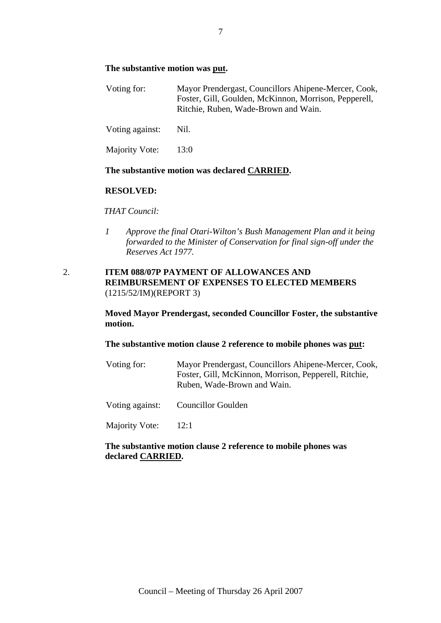#### **The substantive motion was put.**

| Voting for: | Mayor Prendergast, Councillors Ahipene-Mercer, Cook,  |
|-------------|-------------------------------------------------------|
|             | Foster, Gill, Goulden, McKinnon, Morrison, Pepperell, |
|             | Ritchie, Ruben, Wade-Brown and Wain.                  |
|             |                                                       |

Voting against: Nil.

Majority Vote: 13:0

#### **The substantive motion was declared CARRIED.**

## **RESOLVED:**

#### *THAT Council:*

*1 Approve the final Otari-Wilton's Bush Management Plan and it being forwarded to the Minister of Conservation for final sign-off under the Reserves Act 1977.* 

## 2. **ITEM 088/07P PAYMENT OF ALLOWANCES AND REIMBURSEMENT OF EXPENSES TO ELECTED MEMBERS**  (1215/52/IM)(REPORT 3)

**Moved Mayor Prendergast, seconded Councillor Foster, the substantive motion.** 

## **The substantive motion clause 2 reference to mobile phones was put:**

| Voting for: | Mayor Prendergast, Councillors Ahipene-Mercer, Cook,  |
|-------------|-------------------------------------------------------|
|             | Foster, Gill, McKinnon, Morrison, Pepperell, Ritchie, |
|             | Ruben, Wade-Brown and Wain.                           |
|             |                                                       |

Voting against: Councillor Goulden

Majority Vote: 12:1

## **The substantive motion clause 2 reference to mobile phones was declared CARRIED.**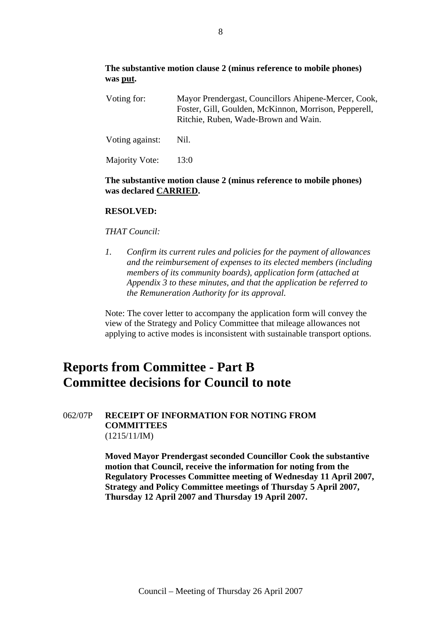## **The substantive motion clause 2 (minus reference to mobile phones) was put.**

| Voting for:     | Mayor Prendergast, Councillors Ahipene-Mercer, Cook,<br>Foster, Gill, Goulden, McKinnon, Morrison, Pepperell,<br>Ritchie, Ruben, Wade-Brown and Wain. |  |
|-----------------|-------------------------------------------------------------------------------------------------------------------------------------------------------|--|
| Voting against: | Nil.                                                                                                                                                  |  |
| Majority Vote:  | 13:0                                                                                                                                                  |  |

### **The substantive motion clause 2 (minus reference to mobile phones) was declared CARRIED.**

## **RESOLVED:**

#### *THAT Council:*

*1. Confirm its current rules and policies for the payment of allowances and the reimbursement of expenses to its elected members (including members of its community boards), application form (attached at Appendix 3 to these minutes, and that the application be referred to the Remuneration Authority for its approval.* 

Note: The cover letter to accompany the application form will convey the view of the Strategy and Policy Committee that mileage allowances not applying to active modes is inconsistent with sustainable transport options.

# **Reports from Committee - Part B Committee decisions for Council to note**

### 062/07P **RECEIPT OF INFORMATION FOR NOTING FROM COMMITTEES**  (1215/11/IM)

**Moved Mayor Prendergast seconded Councillor Cook the substantive motion that Council, receive the information for noting from the Regulatory Processes Committee meeting of Wednesday 11 April 2007, Strategy and Policy Committee meetings of Thursday 5 April 2007, Thursday 12 April 2007 and Thursday 19 April 2007.**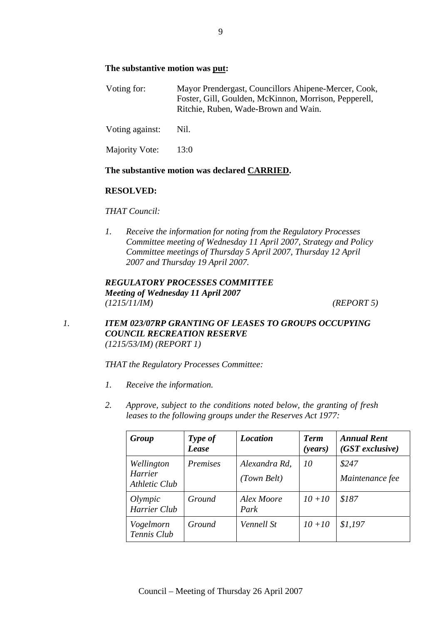## **The substantive motion was put:**

| Voting for: | Mayor Prendergast, Councillors Ahipene-Mercer, Cook,  |
|-------------|-------------------------------------------------------|
|             | Foster, Gill, Goulden, McKinnon, Morrison, Pepperell, |
|             | Ritchie, Ruben, Wade-Brown and Wain.                  |
|             |                                                       |

Voting against: Nil.

Majority Vote: 13:0

#### **The substantive motion was declared CARRIED.**

#### **RESOLVED:**

#### *THAT Council:*

*1. Receive the information for noting from the Regulatory Processes Committee meeting of Wednesday 11 April 2007, Strategy and Policy Committee meetings of Thursday 5 April 2007, Thursday 12 April 2007 and Thursday 19 April 2007.* 

## *REGULATORY PROCESSES COMMITTEE Meeting of Wednesday 11 April 2007 (1215/11/IM) (REPORT 5)*

## *1. ITEM 023/07RP GRANTING OF LEASES TO GROUPS OCCUPYING COUNCIL RECREATION RESERVE (1215/53/IM) (REPORT 1)*

*THAT the Regulatory Processes Committee:* 

- *1. Receive the information.*
- *2. Approve, subject to the conditions noted below, the granting of fresh leases to the following groups under the Reserves Act 1977:*

| Group                                         | Type of<br><b>Lease</b> | <b>Location</b>              | <b>Term</b><br>( <i>years</i> ) | <b>Annual Rent</b><br>$(GST$ exclusive) |
|-----------------------------------------------|-------------------------|------------------------------|---------------------------------|-----------------------------------------|
| Wellington<br><b>Harrier</b><br>Athletic Club | <i>Premises</i>         | Alexandra Rd,<br>(Town Belt) | 10                              | \$247<br>Maintenance fee                |
| Olympic<br>Harrier Club                       | Ground                  | Alex Moore<br>Park           | $10 + 10$                       | \$187                                   |
| Vogelmorn<br>Tennis Club                      | Ground                  | Vennell St                   | $10 + 10$                       | \$1,197                                 |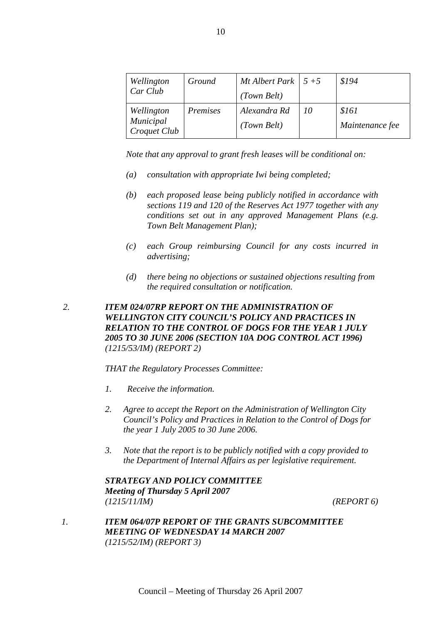| Wellington                | Ground   | Mt Albert Park $\vert 5+5 \vert$ |    | \$194           |
|---------------------------|----------|----------------------------------|----|-----------------|
| Car Club                  |          | (Town Belt)                      |    |                 |
| Wellington                | Premises | Alexandra Rd                     | 10 | \$161           |
| Municipal<br>Croquet Club |          | (Town Belt)                      |    | Maintenance fee |

*Note that any approval to grant fresh leases will be conditional on:* 

- *(a) consultation with appropriate Iwi being completed;*
- *(b) each proposed lease being publicly notified in accordance with sections 119 and 120 of the Reserves Act 1977 together with any conditions set out in any approved Management Plans (e.g. Town Belt Management Plan);*
- *(c) each Group reimbursing Council for any costs incurred in advertising;*
- *(d) there being no objections or sustained objections resulting from the required consultation or notification.*

## *2. ITEM 024/07RP REPORT ON THE ADMINISTRATION OF WELLINGTON CITY COUNCIL'S POLICY AND PRACTICES IN RELATION TO THE CONTROL OF DOGS FOR THE YEAR 1 JULY 2005 TO 30 JUNE 2006 (SECTION 10A DOG CONTROL ACT 1996) (1215/53/IM) (REPORT 2)*

*THAT the Regulatory Processes Committee:* 

- *1. Receive the information.*
- *2. Agree to accept the Report on the Administration of Wellington City Council's Policy and Practices in Relation to the Control of Dogs for the year 1 July 2005 to 30 June 2006.*
- *3. Note that the report is to be publicly notified with a copy provided to the Department of Internal Affairs as per legislative requirement.*

*STRATEGY AND POLICY COMMITTEE Meeting of Thursday 5 April 2007 (1215/11/IM) (REPORT 6)*

*1. ITEM 064/07P REPORT OF THE GRANTS SUBCOMMITTEE MEETING OF WEDNESDAY 14 MARCH 2007 (1215/52/IM) (REPORT 3)*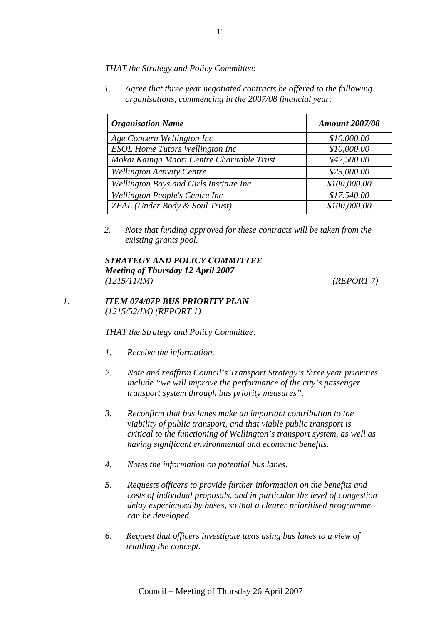*THAT the Strategy and Policy Committee:*

*1. Agree that three year negotiated contracts be offered to the following organisations, commencing in the 2007/08 financial year:* 

| <b>Organisation Name</b>                   | <b>Amount 2007/08</b> |
|--------------------------------------------|-----------------------|
| Age Concern Wellington Inc                 | \$10,000.00           |
| <b>ESOL Home Tutors Wellington Inc.</b>    | \$10,000.00           |
| Mokai Kainga Maori Centre Charitable Trust | \$42,500.00           |
| <b>Wellington Activity Centre</b>          | \$25,000.00           |
| Wellington Boys and Girls Institute Inc    | \$100,000.00          |
| Wellington People's Centre Inc             | \$17,540.00           |
| <b>ZEAL</b> (Under Body & Soul Trust)      | \$100,000.00          |

*2. Note that funding approved for these contracts will be taken from the existing grants pool.* 

#### *STRATEGY AND POLICY COMMITTEE Meeting of Thursday 12 April 2007 (1215/11/IM) (REPORT 7)*

## *1. ITEM 074/07P BUS PRIORITY PLAN (1215/52/IM) (REPORT 1)*

*THAT the Strategy and Policy Committee:* 

- *1. Receive the information.*
- *2. Note and reaffirm Council's Transport Strategy's three year priorities include "we will improve the performance of the city's passenger transport system through bus priority measures".*
- *3. Reconfirm that bus lanes make an important contribution to the viability of public transport, and that viable public transport is critical to the functioning of Wellington's transport system, as well as having significant environmental and economic benefits.*
- *4. Notes the information on potential bus lanes.*
- *5. Requests officers to provide further information on the benefits and costs of individual proposals, and in particular the level of congestion delay experienced by buses, so that a clearer prioritised programme can be developed.*
- *6. Request that officers investigate taxis using bus lanes to a view of trialling the concept.*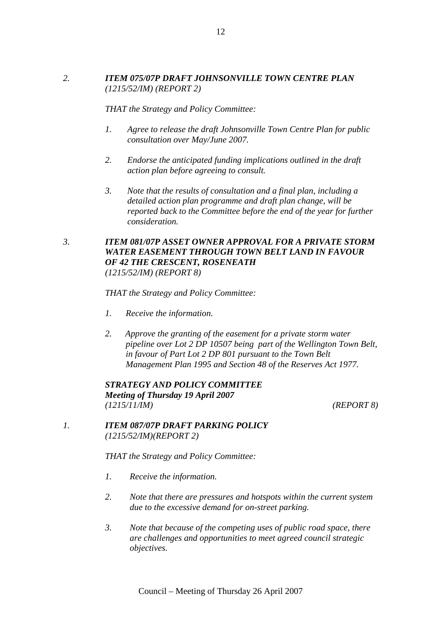## *2. ITEM 075/07P DRAFT JOHNSONVILLE TOWN CENTRE PLAN (1215/52/IM) (REPORT 2)*

*THAT the Strategy and Policy Committee:* 

- *1. Agree to release the draft Johnsonville Town Centre Plan for public consultation over May/June 2007.*
- *2. Endorse the anticipated funding implications outlined in the draft action plan before agreeing to consult.*
- *3. Note that the results of consultation and a final plan, including a detailed action plan programme and draft plan change, will be reported back to the Committee before the end of the year for further consideration.*

## *3. ITEM 081/07P ASSET OWNER APPROVAL FOR A PRIVATE STORM WATER EASEMENT THROUGH TOWN BELT LAND IN FAVOUR OF 42 THE CRESCENT, ROSENEATH (1215/52/IM) (REPORT 8)*

#### *THAT the Strategy and Policy Committee:*

- *1. Receive the information.*
- *2. Approve the granting of the easement for a private storm water pipeline over Lot 2 DP 10507 being part of the Wellington Town Belt, in favour of Part Lot 2 DP 801 pursuant to the Town Belt Management Plan 1995 and Section 48 of the Reserves Act 1977.*

## *STRATEGY AND POLICY COMMITTEE Meeting of Thursday 19 April 2007 (1215/11/IM) (REPORT 8)*

*1. ITEM 087/07P DRAFT PARKING POLICY (1215/52/IM)(REPORT 2)*

*THAT the Strategy and Policy Committee:* 

- *1. Receive the information.*
- *2. Note that there are pressures and hotspots within the current system due to the excessive demand for on-street parking.*
- *3. Note that because of the competing uses of public road space, there are challenges and opportunities to meet agreed council strategic objectives.*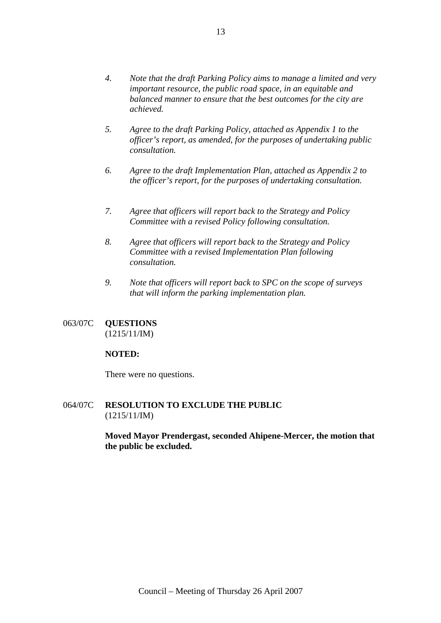- *4. Note that the draft Parking Policy aims to manage a limited and very important resource, the public road space, in an equitable and balanced manner to ensure that the best outcomes for the city are achieved.*
- *5. Agree to the draft Parking Policy, attached as Appendix 1 to the officer's report, as amended, for the purposes of undertaking public consultation.*
- *6. Agree to the draft Implementation Plan, attached as Appendix 2 to the officer's report, for the purposes of undertaking consultation.*
- *7. Agree that officers will report back to the Strategy and Policy Committee with a revised Policy following consultation.*
- *8. Agree that officers will report back to the Strategy and Policy Committee with a revised Implementation Plan following consultation.*
- *9. Note that officers will report back to SPC on the scope of surveys that will inform the parking implementation plan.*
- 063/07C **QUESTIONS**  (1215/11/IM)

## **NOTED:**

There were no questions.

064/07C **RESOLUTION TO EXCLUDE THE PUBLIC**  (1215/11/IM)

> **Moved Mayor Prendergast, seconded Ahipene-Mercer, the motion that the public be excluded.**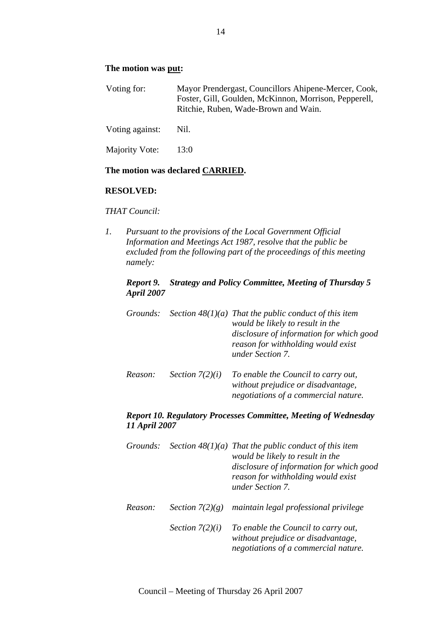#### **The motion was put:**

| Voting for: | Mayor Prendergast, Councillors Ahipene-Mercer, Cook,  |
|-------------|-------------------------------------------------------|
|             | Foster, Gill, Goulden, McKinnon, Morrison, Pepperell, |
|             | Ritchie, Ruben, Wade-Brown and Wain.                  |
|             |                                                       |

Voting against: Nil.

Majority Vote: 13:0

#### **The motion was declared CARRIED.**

#### **RESOLVED:**

#### *THAT Council:*

*1. Pursuant to the provisions of the Local Government Official Information and Meetings Act 1987, resolve that the public be excluded from the following part of the proceedings of this meeting namely:* 

### *Report 9. Strategy and Policy Committee, Meeting of Thursday 5 April 2007*

| Grounds: |                   | Section $48(1)(a)$ That the public conduct of this item<br>would be likely to result in the<br>disclosure of information for which good<br>reason for withholding would exist<br>under Section 7. |
|----------|-------------------|---------------------------------------------------------------------------------------------------------------------------------------------------------------------------------------------------|
| Reason:  | Section $7(2)(i)$ | To enable the Council to carry out,<br>without prejudice or disadvantage,<br>negotiations of a commercial nature.                                                                                 |

#### *Report 10. Regulatory Processes Committee, Meeting of Wednesday 11 April 2007*

| Grounds: |                   | Section $48(1)(a)$ That the public conduct of this item<br>would be likely to result in the<br>disclosure of information for which good<br>reason for withholding would exist<br>under Section 7. |
|----------|-------------------|---------------------------------------------------------------------------------------------------------------------------------------------------------------------------------------------------|
| Reason:  | Section $7(2)(g)$ | maintain legal professional privilege                                                                                                                                                             |
|          | Section $7(2)(i)$ | To enable the Council to carry out,<br>without prejudice or disadvantage,<br>negotiations of a commercial nature.                                                                                 |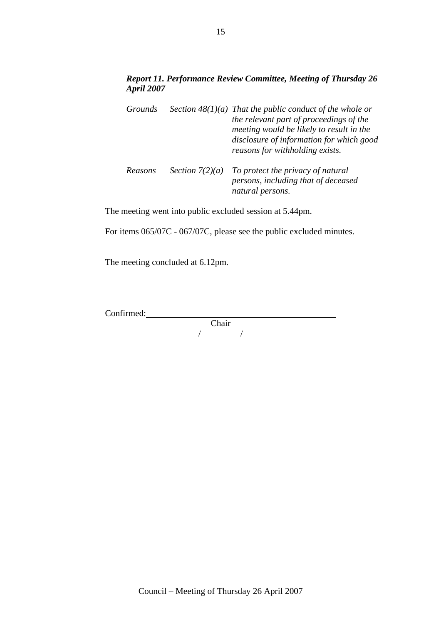## *Report 11. Performance Review Committee, Meeting of Thursday 26 April 2007*

| Grounds |                   | Section $48(1)(a)$ That the public conduct of the whole or<br>the relevant part of proceedings of the<br>meeting would be likely to result in the<br>disclosure of information for which good<br>reasons for withholding exists. |
|---------|-------------------|----------------------------------------------------------------------------------------------------------------------------------------------------------------------------------------------------------------------------------|
| Reasons | Section $7(2)(a)$ | To protect the privacy of natural<br>persons, including that of deceased<br>natural persons.                                                                                                                                     |

The meeting went into public excluded session at 5.44pm.

For items 065/07C - 067/07C, please see the public excluded minutes.

The meeting concluded at 6.12pm.

Confirmed:

Chair / /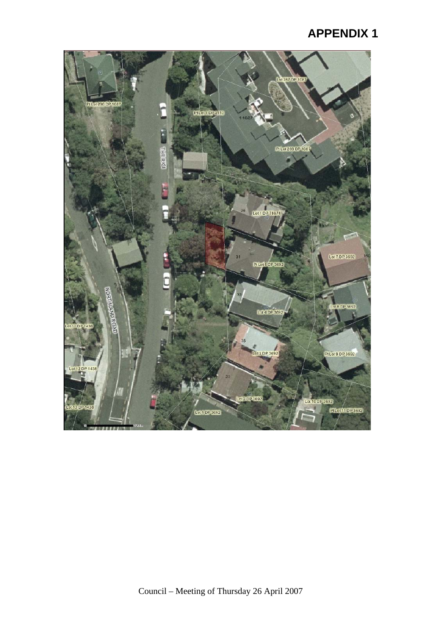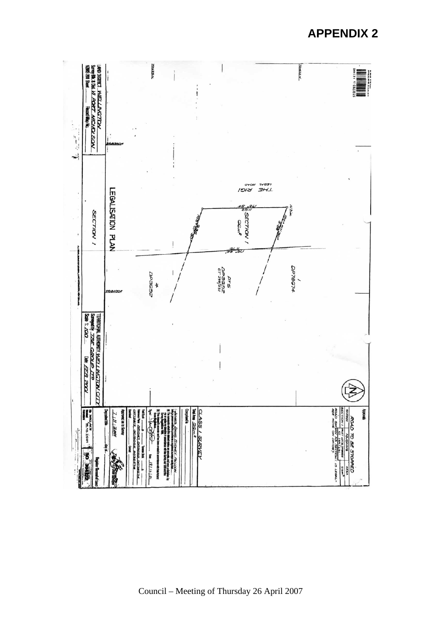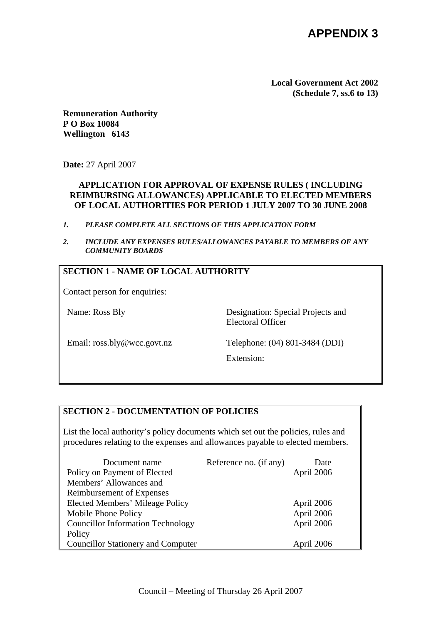**Local Government Act 2002 (Schedule 7, ss.6 to 13)** 

**Remuneration Authority P O Box 10084 Wellington 6143** 

**Date:** 27 April 2007

## **APPLICATION FOR APPROVAL OF EXPENSE RULES ( INCLUDING REIMBURSING ALLOWANCES) APPLICABLE TO ELECTED MEMBERS OF LOCAL AUTHORITIES FOR PERIOD 1 JULY 2007 TO 30 JUNE 2008**

- *1. PLEASE COMPLETE ALL SECTIONS OF THIS APPLICATION FORM*
- *2. INCLUDE ANY EXPENSES RULES/ALLOWANCES PAYABLE TO MEMBERS OF ANY COMMUNITY BOARDS*

## **SECTION 1 - NAME OF LOCAL AUTHORITY**

Contact person for enquiries:

Name: Ross Bly Designation: Special Projects and Electoral Officer

Email: ross.bly@wcc.govt.nz Telephone: (04) 801-3484 (DDI)

Extension:

## **SECTION 2 - DOCUMENTATION OF POLICIES**

List the local authority's policy documents which set out the policies, rules and procedures relating to the expenses and allowances payable to elected members.

| Document name                             | Reference no. (if any) | Date       |
|-------------------------------------------|------------------------|------------|
| Policy on Payment of Elected              |                        | April 2006 |
| Members' Allowances and                   |                        |            |
| <b>Reimbursement of Expenses</b>          |                        |            |
| Elected Members' Mileage Policy           |                        | April 2006 |
| Mobile Phone Policy                       |                        | April 2006 |
| <b>Councillor Information Technology</b>  |                        | April 2006 |
| Policy                                    |                        |            |
| <b>Councillor Stationery and Computer</b> |                        | April 2006 |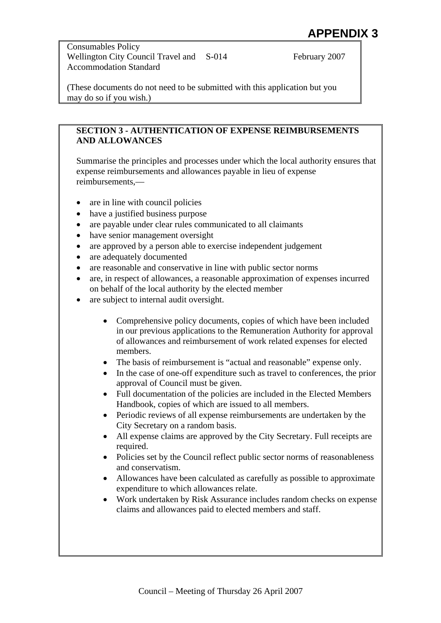Consumables Policy Wellington City Council Travel and S-014 Accommodation Standard

February 2007

(These documents do not need to be submitted with this application but you may do so if you wish.)

## **SECTION 3 - AUTHENTICATION OF EXPENSE REIMBURSEMENTS AND ALLOWANCES**

Summarise the principles and processes under which the local authority ensures that expense reimbursements and allowances payable in lieu of expense reimbursements,—

- are in line with council policies
- have a justified business purpose
- are payable under clear rules communicated to all claimants
- have senior management oversight
- are approved by a person able to exercise independent judgement
- are adequately documented
- are reasonable and conservative in line with public sector norms
- are, in respect of allowances, a reasonable approximation of expenses incurred on behalf of the local authority by the elected member
- are subject to internal audit oversight.
	- Comprehensive policy documents, copies of which have been included in our previous applications to the Remuneration Authority for approval of allowances and reimbursement of work related expenses for elected members.
	- The basis of reimbursement is "actual and reasonable" expense only.
	- In the case of one-off expenditure such as travel to conferences, the prior approval of Council must be given.
	- Full documentation of the policies are included in the Elected Members Handbook, copies of which are issued to all members.
	- Periodic reviews of all expense reimbursements are undertaken by the City Secretary on a random basis.
	- All expense claims are approved by the City Secretary. Full receipts are required.
	- Policies set by the Council reflect public sector norms of reasonableness and conservatism.
	- Allowances have been calculated as carefully as possible to approximate expenditure to which allowances relate.
	- Work undertaken by Risk Assurance includes random checks on expense claims and allowances paid to elected members and staff.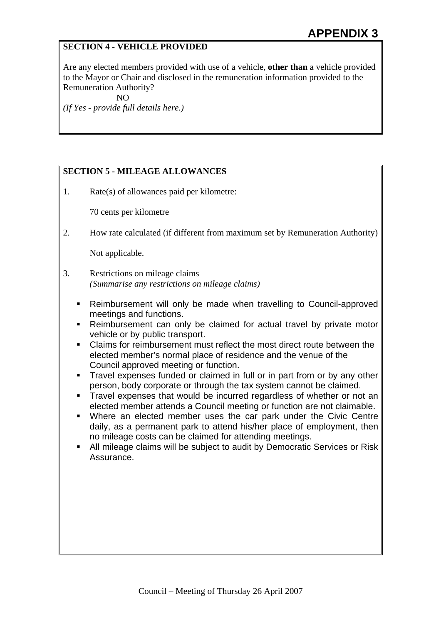## **SECTION 4 - VEHICLE PROVIDED**

Are any elected members provided with use of a vehicle, **other than** a vehicle provided to the Mayor or Chair and disclosed in the remuneration information provided to the Remuneration Authority?

NO

*(If Yes - provide full details here.)* 

## **SECTION 5 - MILEAGE ALLOWANCES**

1. Rate(s) of allowances paid per kilometre:

70 cents per kilometre

2. How rate calculated (if different from maximum set by Remuneration Authority)

Not applicable.

- 3. Restrictions on mileage claims *(Summarise any restrictions on mileage claims)* 
	- Reimbursement will only be made when travelling to Council-approved meetings and functions.
	- Reimbursement can only be claimed for actual travel by private motor vehicle or by public transport.
	- Claims for reimbursement must reflect the most direct route between the elected member's normal place of residence and the venue of the Council approved meeting or function.
	- Travel expenses funded or claimed in full or in part from or by any other person, body corporate or through the tax system cannot be claimed.
	- **Travel expenses that would be incurred regardless of whether or not an** elected member attends a Council meeting or function are not claimable.
	- Where an elected member uses the car park under the Civic Centre daily, as a permanent park to attend his/her place of employment, then no mileage costs can be claimed for attending meetings.
	- All mileage claims will be subject to audit by Democratic Services or Risk Assurance.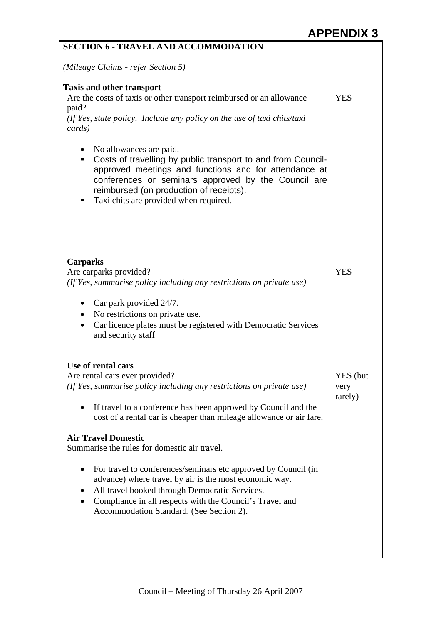| <b>SECTION 6 - TRAVEL AND ACCOMMODATION</b>                                                                                                                                                                                                                                                                         |                             |  |
|---------------------------------------------------------------------------------------------------------------------------------------------------------------------------------------------------------------------------------------------------------------------------------------------------------------------|-----------------------------|--|
| (Mileage Claims - refer Section 5)                                                                                                                                                                                                                                                                                  |                             |  |
| <b>Taxis and other transport</b><br>Are the costs of taxis or other transport reimbursed or an allowance<br>paid?<br>(If Yes, state policy. Include any policy on the use of taxi chits/taxi<br>cards)                                                                                                              | <b>YES</b>                  |  |
| No allowances are paid.<br>$\bullet$<br>Costs of travelling by public transport to and from Council-<br>٠<br>approved meetings and functions and for attendance at<br>conferences or seminars approved by the Council are<br>reimbursed (on production of receipts).<br>Taxi chits are provided when required.<br>п |                             |  |
| <b>Carparks</b><br>Are carparks provided?<br>(If Yes, summarise policy including any restrictions on private use)<br>Car park provided 24/7.<br>$\bullet$<br>No restrictions on private use.<br>$\bullet$<br>Car licence plates must be registered with Democratic Services<br>٠<br>and security staff              | <b>YES</b>                  |  |
| Use of rental cars<br>Are rental cars ever provided?<br>(If Yes, summarise policy including any restrictions on private use)<br>If travel to a conference has been approved by Council and the<br>٠<br>cost of a rental car is cheaper than mileage allowance or air fare.                                          | YES (but<br>very<br>rarely) |  |
| <b>Air Travel Domestic</b><br>Summarise the rules for domestic air travel.                                                                                                                                                                                                                                          |                             |  |
| For travel to conferences/seminars etc approved by Council (in<br>٠<br>advance) where travel by air is the most economic way.<br>All travel booked through Democratic Services.<br>Compliance in all respects with the Council's Travel and<br>Accommodation Standard. (See Section 2).                             |                             |  |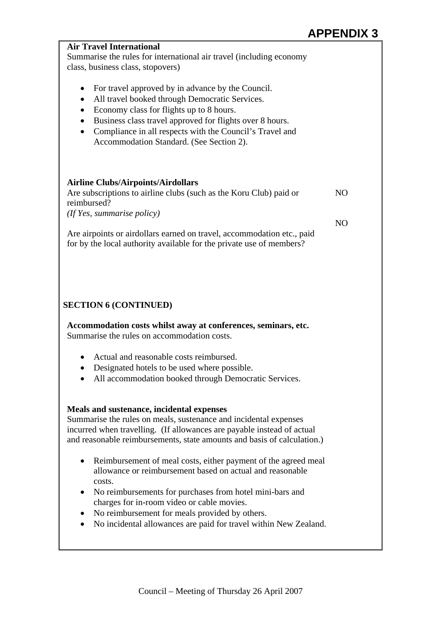|                                                                                                                                                                                                                                                                                                                                                                                      | AF F LIYDI     |
|--------------------------------------------------------------------------------------------------------------------------------------------------------------------------------------------------------------------------------------------------------------------------------------------------------------------------------------------------------------------------------------|----------------|
| <b>Air Travel International</b><br>Summarise the rules for international air travel (including economy<br>class, business class, stopovers)                                                                                                                                                                                                                                          |                |
| For travel approved by in advance by the Council.<br>$\bullet$<br>All travel booked through Democratic Services.<br>$\bullet$<br>Economy class for flights up to 8 hours.<br>$\bullet$<br>Business class travel approved for flights over 8 hours.<br>$\bullet$<br>Compliance in all respects with the Council's Travel and<br>$\bullet$<br>Accommodation Standard. (See Section 2). |                |
| <b>Airline Clubs/Airpoints/Airdollars</b><br>Are subscriptions to airline clubs (such as the Koru Club) paid or<br>reimbursed?<br>(If Yes, summarise policy)                                                                                                                                                                                                                         | N <sub>O</sub> |
| Are airpoints or airdollars earned on travel, accommodation etc., paid<br>for by the local authority available for the private use of members?                                                                                                                                                                                                                                       | N <sub>O</sub> |
| <b>SECTION 6 (CONTINUED)</b><br>Accommodation costs whilst away at conferences, seminars, etc.<br>Summarise the rules on accommodation costs.                                                                                                                                                                                                                                        |                |
| Actual and reasonable costs reimbursed.<br>$\bullet$<br>Designated hotels to be used where possible.<br>All accommodation booked through Democratic Services.                                                                                                                                                                                                                        |                |
| Meals and sustenance, incidental expenses<br>Summarise the rules on meals, sustenance and incidental expenses<br>incurred when travelling. (If allowances are payable instead of actual<br>and reasonable reimbursements, state amounts and basis of calculation.)                                                                                                                   |                |
| Reimbursement of meal costs, either payment of the agreed meal<br>allowance or reimbursement based on actual and reasonable<br>costs.<br>No reimbursements for purchases from hotel mini-bars and<br>charges for in-room video or cable movies.                                                                                                                                      |                |
| No reimbursement for meals provided by others.<br>No incidental allowances are paid for travel within New Zealand.                                                                                                                                                                                                                                                                   |                |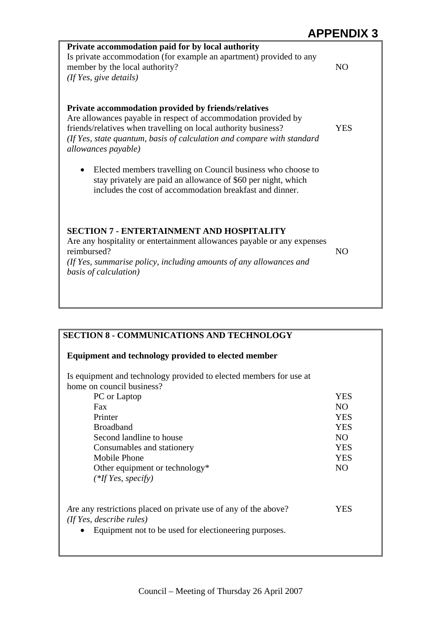| Private accommodation paid for by local authority<br>Is private accommodation (for example an apartment) provided to any<br>member by the local authority?<br>(If Yes, give details)                   | NO             |
|--------------------------------------------------------------------------------------------------------------------------------------------------------------------------------------------------------|----------------|
|                                                                                                                                                                                                        |                |
| Private accommodation provided by friends/relatives<br>Are allowances payable in respect of accommodation provided by                                                                                  |                |
| friends/relatives when travelling on local authority business?                                                                                                                                         | YES            |
| (If Yes, state quantum, basis of calculation and compare with standard<br>allowances payable)                                                                                                          |                |
| Elected members travelling on Council business who choose to<br>$\bullet$<br>stay privately are paid an allowance of \$60 per night, which<br>includes the cost of accommodation breakfast and dinner. |                |
| <b>SECTION 7 - ENTERTAINMENT AND HOSPITALITY</b><br>Are any hospitality or entertainment allowances payable or any expenses                                                                            |                |
| reimbursed?                                                                                                                                                                                            | N <sub>O</sub> |
| (If Yes, summarise policy, including amounts of any allowances and<br>basis of calculation)                                                                                                            |                |
|                                                                                                                                                                                                        |                |

| Equipment and technology provided to elected member                                         |                |
|---------------------------------------------------------------------------------------------|----------------|
| Is equipment and technology provided to elected members for use at                          |                |
| home on council business?                                                                   |                |
| PC or Laptop                                                                                | <b>YES</b>     |
| Fax                                                                                         | NO.            |
| Printer                                                                                     | <b>YES</b>     |
| <b>Broadband</b>                                                                            | <b>YES</b>     |
| Second landline to house                                                                    | NO.            |
| Consumables and stationery                                                                  | <b>YES</b>     |
| Mobile Phone                                                                                | <b>YES</b>     |
| Other equipment or technology*                                                              | N <sub>O</sub> |
| $(*$ If Yes, specify)                                                                       |                |
| Are any restrictions placed on private use of any of the above?<br>(If Yes, describe rules) | YES            |
| Equipment not to be used for electioneering purposes.                                       |                |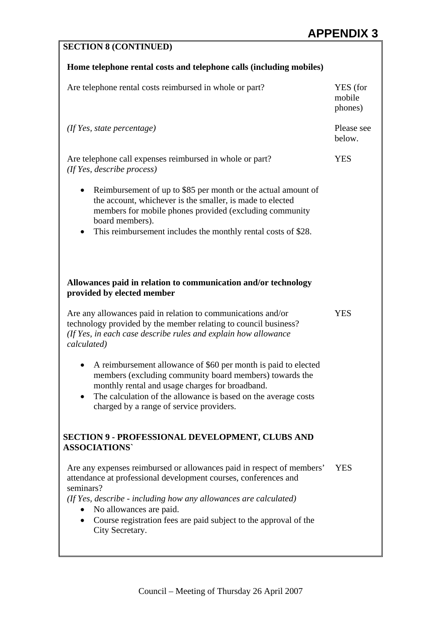| <b>SECTION 8 (CONTINUED)</b>                                                                                                                                                                                                                                                                                                                |                               |
|---------------------------------------------------------------------------------------------------------------------------------------------------------------------------------------------------------------------------------------------------------------------------------------------------------------------------------------------|-------------------------------|
| Home telephone rental costs and telephone calls (including mobiles)                                                                                                                                                                                                                                                                         |                               |
| Are telephone rental costs reimbursed in whole or part?                                                                                                                                                                                                                                                                                     | YES (for<br>mobile<br>phones) |
| $($ If Yes, state percentage $)$                                                                                                                                                                                                                                                                                                            | Please see<br>below.          |
| Are telephone call expenses reimbursed in whole or part?<br>(If Yes, describe process)                                                                                                                                                                                                                                                      | <b>YES</b>                    |
| Reimbursement of up to \$85 per month or the actual amount of<br>the account, whichever is the smaller, is made to elected<br>members for mobile phones provided (excluding community<br>board members).<br>This reimbursement includes the monthly rental costs of \$28.                                                                   |                               |
| Allowances paid in relation to communication and/or technology<br>provided by elected member<br>Are any allowances paid in relation to communications and/or<br>technology provided by the member relating to council business?<br>(If Yes, in each case describe rules and explain how allowance<br>calculated)                            | <b>YES</b>                    |
| A reimbursement allowance of \$60 per month is paid to elected<br>members (excluding community board members) towards the<br>monthly rental and usage charges for broadband.<br>The calculation of the allowance is based on the average costs<br>charged by a range of service providers.                                                  |                               |
| <b>SECTION 9 - PROFESSIONAL DEVELOPMENT, CLUBS AND</b><br><b>ASSOCIATIONS'</b>                                                                                                                                                                                                                                                              |                               |
| Are any expenses reimbursed or allowances paid in respect of members'<br>attendance at professional development courses, conferences and<br>seminars?<br>(If Yes, describe - including how any allowances are calculated)<br>No allowances are paid.<br>Course registration fees are paid subject to the approval of the<br>City Secretary. | <b>YES</b>                    |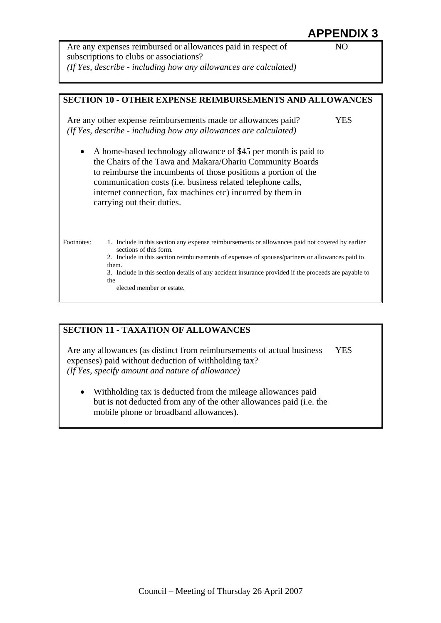Are any expenses reimbursed or allowances paid in respect of subscriptions to clubs or associations? *(If Yes, describe - including how any allowances are calculated)* 



## **SECTION 11 - TAXATION OF ALLOWANCES**

Are any allowances (as distinct from reimbursements of actual business expenses) paid without deduction of withholding tax? YES *(If Yes, specify amount and nature of allowance)* 

Withholding tax is deducted from the mileage allowances paid but is not deducted from any of the other allowances paid (i.e. the mobile phone or broadband allowances).